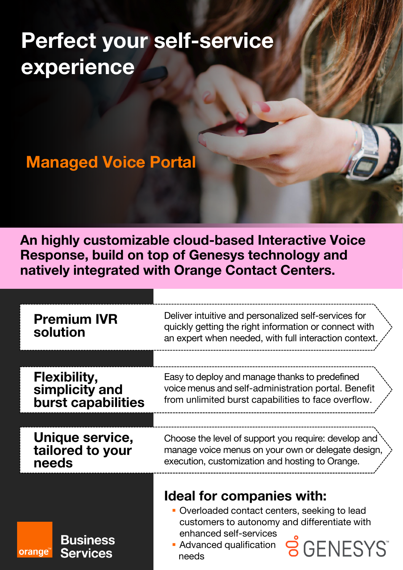# **Perfect your self-service experience**

## **Managed Voice Portal**

**An highly customizable cloud-based Interactive Voice Response, build on top of Genesys technology and natively integrated with Orange Contact Centers.** 

| <b>Premium IVR</b><br>solution                                     | Deliver intuitive and personalized self-services for<br>quickly getting the right information or connect with<br>an expert when needed, with full interaction context.     |  |
|--------------------------------------------------------------------|----------------------------------------------------------------------------------------------------------------------------------------------------------------------------|--|
|                                                                    |                                                                                                                                                                            |  |
| <b>Flexibility,</b><br>simplicity and<br><b>burst capabilities</b> | Easy to deploy and manage thanks to predefined<br>voice menus and self-administration portal. Benefit<br>from unlimited burst capabilities to face overflow.               |  |
|                                                                    |                                                                                                                                                                            |  |
| <b>Unique service,</b><br>tailored to your<br>needs                | Choose the level of support you require: develop and<br>manage voice menus on your own or delegate design,<br>execution, customization and hosting to Orange.              |  |
|                                                                    |                                                                                                                                                                            |  |
|                                                                    | <b>Ideal for companies with:</b>                                                                                                                                           |  |
| <b>Business</b><br><b>Services</b><br>orange <sup>®</sup>          | • Overloaded contact centers, seeking to lead<br>customers to autonomy and differentiate with<br>enhanced self-services<br>Advanced qualification<br><b>NESYS</b><br>needs |  |